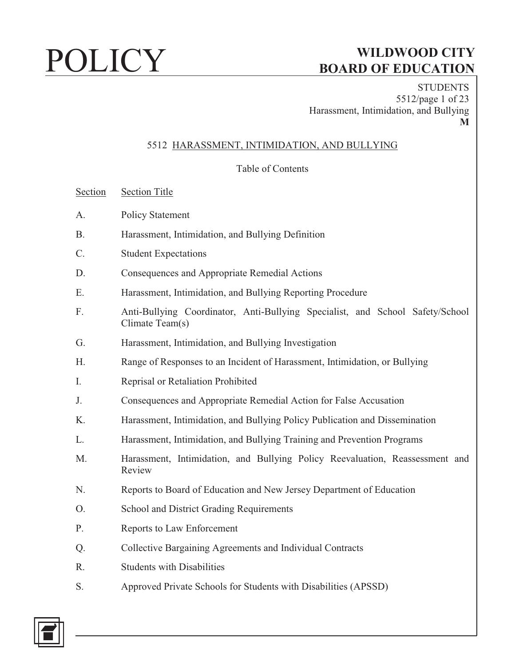**STUDENTS** 5512/page 1 of 23 Harassment, Intimidation, and Bullying **M** 

### 5512 HARASSMENT, INTIMIDATION, AND BULLYING

### Table of Contents

Section Section Title

- A. Policy Statement
- B. Harassment, Intimidation, and Bullying Definition
- C. Student Expectations
- D. Consequences and Appropriate Remedial Actions
- E. Harassment, Intimidation, and Bullying Reporting Procedure
- F. Anti-Bullying Coordinator, Anti-Bullying Specialist, and School Safety/School Climate Team(s)
- G. Harassment, Intimidation, and Bullying Investigation
- H. Range of Responses to an Incident of Harassment, Intimidation, or Bullying
- I. Reprisal or Retaliation Prohibited
- J. Consequences and Appropriate Remedial Action for False Accusation
- K. Harassment, Intimidation, and Bullying Policy Publication and Dissemination
- L. Harassment, Intimidation, and Bullying Training and Prevention Programs
- M. Harassment, Intimidation, and Bullying Policy Reevaluation, Reassessment and Review
- N. Reports to Board of Education and New Jersey Department of Education
- O. School and District Grading Requirements
- P. Reports to Law Enforcement
- Q. Collective Bargaining Agreements and Individual Contracts
- R. Students with Disabilities
- S. Approved Private Schools for Students with Disabilities (APSSD)

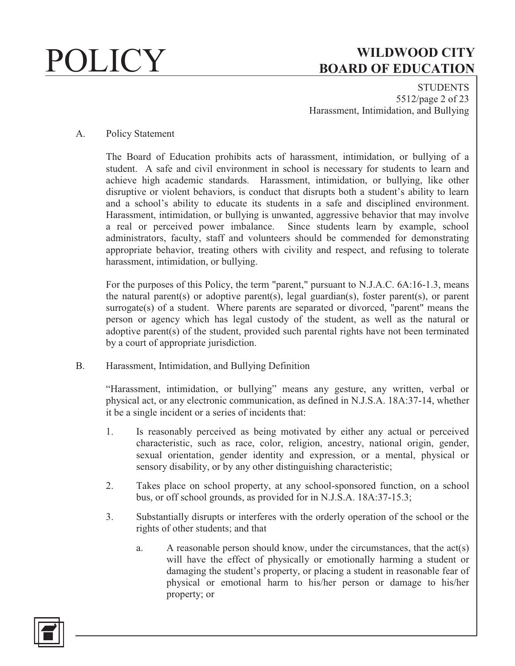**STUDENTS** 5512/page 2 of 23 Harassment, Intimidation, and Bullying

### A. Policy Statement

The Board of Education prohibits acts of harassment, intimidation, or bullying of a student. A safe and civil environment in school is necessary for students to learn and achieve high academic standards. Harassment, intimidation, or bullying, like other disruptive or violent behaviors, is conduct that disrupts both a student's ability to learn and a school's ability to educate its students in a safe and disciplined environment. Harassment, intimidation, or bullying is unwanted, aggressive behavior that may involve a real or perceived power imbalance. Since students learn by example, school administrators, faculty, staff and volunteers should be commended for demonstrating appropriate behavior, treating others with civility and respect, and refusing to tolerate harassment, intimidation, or bullying.

For the purposes of this Policy, the term "parent," pursuant to N.J.A.C. 6A:16-1.3, means the natural parent(s) or adoptive parent(s), legal guardian(s), foster parent(s), or parent surrogate(s) of a student. Where parents are separated or divorced, "parent" means the person or agency which has legal custody of the student, as well as the natural or adoptive parent(s) of the student, provided such parental rights have not been terminated by a court of appropriate jurisdiction.

B. Harassment, Intimidation, and Bullying Definition

"Harassment, intimidation, or bullying" means any gesture, any written, verbal or physical act, or any electronic communication, as defined in N.J.S.A. 18A:37-14, whether it be a single incident or a series of incidents that:

- 1. Is reasonably perceived as being motivated by either any actual or perceived characteristic, such as race, color, religion, ancestry, national origin, gender, sexual orientation, gender identity and expression, or a mental, physical or sensory disability, or by any other distinguishing characteristic;
- 2. Takes place on school property, at any school-sponsored function, on a school bus, or off school grounds, as provided for in N.J.S.A. 18A:37-15.3;
- 3. Substantially disrupts or interferes with the orderly operation of the school or the rights of other students; and that
	- a. A reasonable person should know, under the circumstances, that the act(s) will have the effect of physically or emotionally harming a student or damaging the student's property, or placing a student in reasonable fear of physical or emotional harm to his/her person or damage to his/her property; or

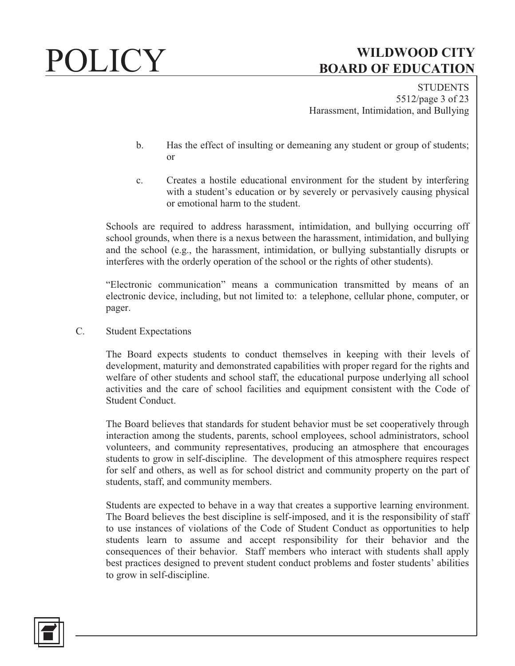**STUDENTS** 5512/page 3 of 23 Harassment, Intimidation, and Bullying

- b. Has the effect of insulting or demeaning any student or group of students; or
- c. Creates a hostile educational environment for the student by interfering with a student's education or by severely or pervasively causing physical or emotional harm to the student.

Schools are required to address harassment, intimidation, and bullying occurring off school grounds, when there is a nexus between the harassment, intimidation, and bullying and the school (e.g., the harassment, intimidation, or bullying substantially disrupts or interferes with the orderly operation of the school or the rights of other students).

"Electronic communication" means a communication transmitted by means of an electronic device, including, but not limited to: a telephone, cellular phone, computer, or pager.

C. Student Expectations

The Board expects students to conduct themselves in keeping with their levels of development, maturity and demonstrated capabilities with proper regard for the rights and welfare of other students and school staff, the educational purpose underlying all school activities and the care of school facilities and equipment consistent with the Code of Student Conduct.

The Board believes that standards for student behavior must be set cooperatively through interaction among the students, parents, school employees, school administrators, school volunteers, and community representatives, producing an atmosphere that encourages students to grow in self-discipline. The development of this atmosphere requires respect for self and others, as well as for school district and community property on the part of students, staff, and community members.

Students are expected to behave in a way that creates a supportive learning environment. The Board believes the best discipline is self-imposed, and it is the responsibility of staff to use instances of violations of the Code of Student Conduct as opportunities to help students learn to assume and accept responsibility for their behavior and the consequences of their behavior. Staff members who interact with students shall apply best practices designed to prevent student conduct problems and foster students' abilities to grow in self-discipline.

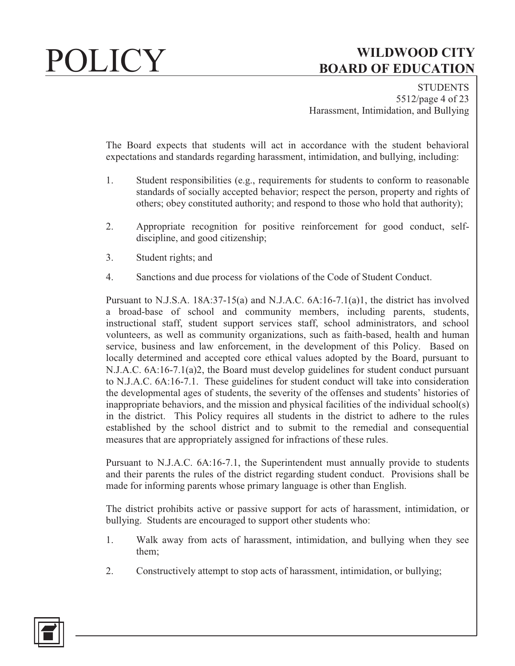**STUDENTS** 5512/page 4 of 23 Harassment, Intimidation, and Bullying

The Board expects that students will act in accordance with the student behavioral expectations and standards regarding harassment, intimidation, and bullying, including:

- 1. Student responsibilities (e.g., requirements for students to conform to reasonable standards of socially accepted behavior; respect the person, property and rights of others; obey constituted authority; and respond to those who hold that authority);
- 2. Appropriate recognition for positive reinforcement for good conduct, selfdiscipline, and good citizenship;
- 3. Student rights; and
- 4. Sanctions and due process for violations of the Code of Student Conduct.

Pursuant to N.J.S.A. 18A:37-15(a) and N.J.A.C. 6A:16-7.1(a)1, the district has involved a broad-base of school and community members, including parents, students, instructional staff, student support services staff, school administrators, and school volunteers, as well as community organizations, such as faith-based, health and human service, business and law enforcement, in the development of this Policy. Based on locally determined and accepted core ethical values adopted by the Board, pursuant to N.J.A.C. 6A:16-7.1(a)2, the Board must develop guidelines for student conduct pursuant to N.J.A.C. 6A:16-7.1. These guidelines for student conduct will take into consideration the developmental ages of students, the severity of the offenses and students' histories of inappropriate behaviors, and the mission and physical facilities of the individual school(s) in the district. This Policy requires all students in the district to adhere to the rules established by the school district and to submit to the remedial and consequential measures that are appropriately assigned for infractions of these rules.

Pursuant to N.J.A.C. 6A:16-7.1, the Superintendent must annually provide to students and their parents the rules of the district regarding student conduct. Provisions shall be made for informing parents whose primary language is other than English.

The district prohibits active or passive support for acts of harassment, intimidation, or bullying. Students are encouraged to support other students who:

- 1. Walk away from acts of harassment, intimidation, and bullying when they see them;
- 2. Constructively attempt to stop acts of harassment, intimidation, or bullying;

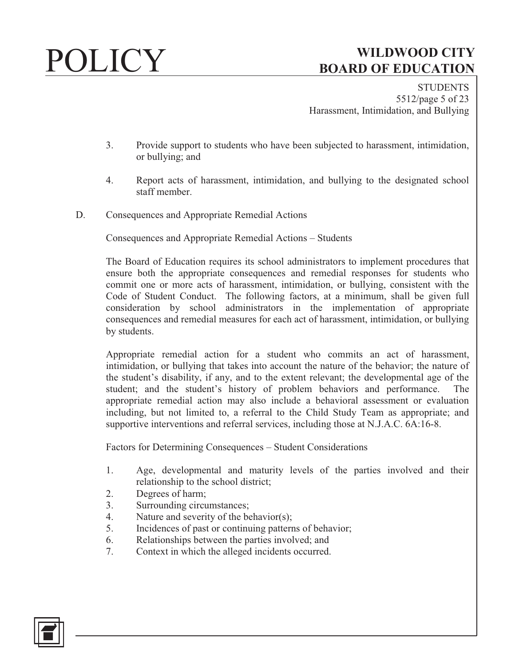**STUDENTS** 5512/page 5 of 23 Harassment, Intimidation, and Bullying

- 3. Provide support to students who have been subjected to harassment, intimidation, or bullying; and
- 4. Report acts of harassment, intimidation, and bullying to the designated school staff member.
- D. Consequences and Appropriate Remedial Actions

Consequences and Appropriate Remedial Actions – Students

The Board of Education requires its school administrators to implement procedures that ensure both the appropriate consequences and remedial responses for students who commit one or more acts of harassment, intimidation, or bullying, consistent with the Code of Student Conduct. The following factors, at a minimum, shall be given full consideration by school administrators in the implementation of appropriate consequences and remedial measures for each act of harassment, intimidation, or bullying by students.

Appropriate remedial action for a student who commits an act of harassment, intimidation, or bullying that takes into account the nature of the behavior; the nature of the student's disability, if any, and to the extent relevant; the developmental age of the student; and the student's history of problem behaviors and performance. The appropriate remedial action may also include a behavioral assessment or evaluation including, but not limited to, a referral to the Child Study Team as appropriate; and supportive interventions and referral services, including those at N.J.A.C. 6A:16-8.

Factors for Determining Consequences – Student Considerations

- 1. Age, developmental and maturity levels of the parties involved and their relationship to the school district;
- 2. Degrees of harm;
- 3. Surrounding circumstances;
- 4. Nature and severity of the behavior(s);
- 5. Incidences of past or continuing patterns of behavior;
- 6. Relationships between the parties involved; and
- 7. Context in which the alleged incidents occurred.

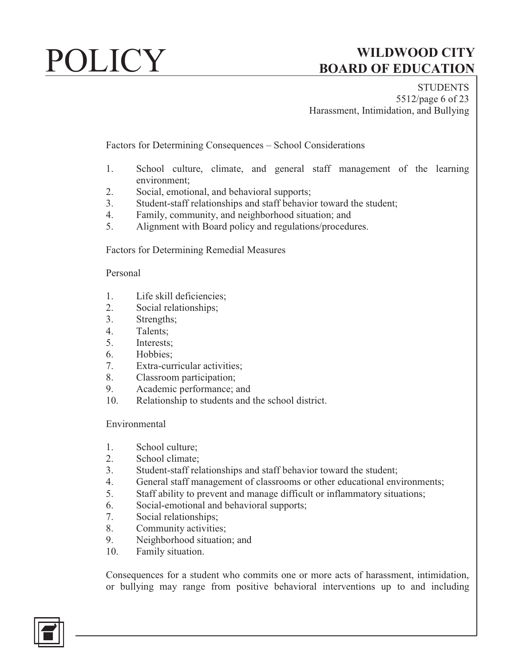**STUDENTS** 5512/page 6 of 23 Harassment, Intimidation, and Bullying

Factors for Determining Consequences – School Considerations

- 1. School culture, climate, and general staff management of the learning environment;
- 2. Social, emotional, and behavioral supports;
- 3. Student-staff relationships and staff behavior toward the student;
- 4. Family, community, and neighborhood situation; and
- 5. Alignment with Board policy and regulations/procedures.

Factors for Determining Remedial Measures

### Personal

- 1. Life skill deficiencies;
- 2. Social relationships;
- 3. Strengths;
- 4. Talents;
- 5. Interests;
- 6. Hobbies;
- 7. Extra-curricular activities;
- 8. Classroom participation;
- 9. Academic performance; and
- 10. Relationship to students and the school district.

### Environmental

- 1. School culture;
- 2. School climate;
- 3. Student-staff relationships and staff behavior toward the student;
- 4. General staff management of classrooms or other educational environments;
- 5. Staff ability to prevent and manage difficult or inflammatory situations;
- 6. Social-emotional and behavioral supports;
- 7. Social relationships;
- 8. Community activities;
- 9. Neighborhood situation; and
- 10. Family situation.

Consequences for a student who commits one or more acts of harassment, intimidation, or bullying may range from positive behavioral interventions up to and including

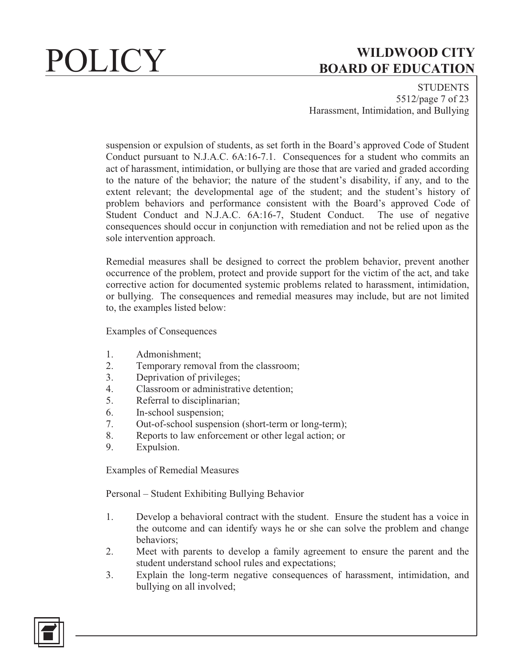**STUDENTS** 5512/page 7 of 23 Harassment, Intimidation, and Bullying

suspension or expulsion of students, as set forth in the Board's approved Code of Student Conduct pursuant to N.J.A.C. 6A:16-7.1. Consequences for a student who commits an act of harassment, intimidation, or bullying are those that are varied and graded according to the nature of the behavior; the nature of the student's disability, if any, and to the extent relevant; the developmental age of the student; and the student's history of problem behaviors and performance consistent with the Board's approved Code of Student Conduct and N.J.A.C. 6A:16-7, Student Conduct. The use of negative consequences should occur in conjunction with remediation and not be relied upon as the sole intervention approach.

Remedial measures shall be designed to correct the problem behavior, prevent another occurrence of the problem, protect and provide support for the victim of the act, and take corrective action for documented systemic problems related to harassment, intimidation, or bullying. The consequences and remedial measures may include, but are not limited to, the examples listed below:

Examples of Consequences

- 1. Admonishment;
- 2. Temporary removal from the classroom;
- 3. Deprivation of privileges;
- 4. Classroom or administrative detention;
- 5. Referral to disciplinarian;
- 6. In-school suspension;
- 7. Out-of-school suspension (short-term or long-term);
- 8. Reports to law enforcement or other legal action; or
- 9. Expulsion.

Examples of Remedial Measures

Personal – Student Exhibiting Bullying Behavior

- 1. Develop a behavioral contract with the student. Ensure the student has a voice in the outcome and can identify ways he or she can solve the problem and change behaviors;
- 2. Meet with parents to develop a family agreement to ensure the parent and the student understand school rules and expectations;
- 3. Explain the long-term negative consequences of harassment, intimidation, and bullying on all involved;

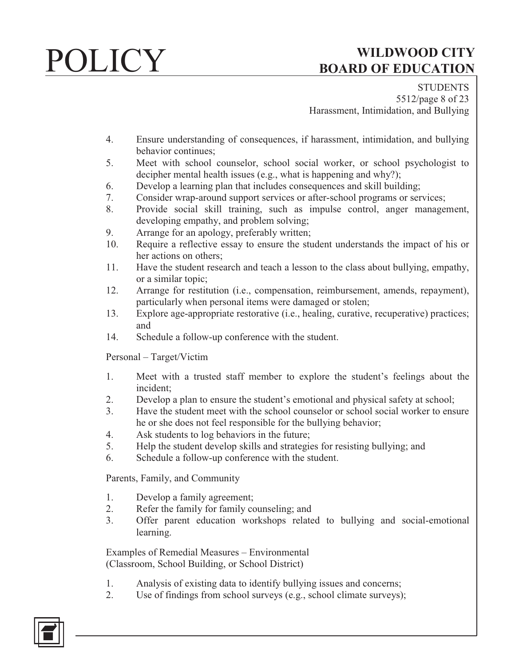**STUDENTS** 5512/page 8 of 23 Harassment, Intimidation, and Bullying

- 4. Ensure understanding of consequences, if harassment, intimidation, and bullying behavior continues;
- 5. Meet with school counselor, school social worker, or school psychologist to decipher mental health issues (e.g., what is happening and why?);
- 6. Develop a learning plan that includes consequences and skill building;
- 7. Consider wrap-around support services or after-school programs or services;
- 8. Provide social skill training, such as impulse control, anger management, developing empathy, and problem solving;
- 9. Arrange for an apology, preferably written;
- 10. Require a reflective essay to ensure the student understands the impact of his or her actions on others;
- 11. Have the student research and teach a lesson to the class about bullying, empathy, or a similar topic;
- 12. Arrange for restitution (i.e., compensation, reimbursement, amends, repayment), particularly when personal items were damaged or stolen;
- 13. Explore age-appropriate restorative (i.e., healing, curative, recuperative) practices; and
- 14. Schedule a follow-up conference with the student.

Personal – Target/Victim

- 1. Meet with a trusted staff member to explore the student's feelings about the incident;
- 2. Develop a plan to ensure the student's emotional and physical safety at school;
- 3. Have the student meet with the school counselor or school social worker to ensure he or she does not feel responsible for the bullying behavior;
- 4. Ask students to log behaviors in the future;
- 5. Help the student develop skills and strategies for resisting bullying; and
- 6. Schedule a follow-up conference with the student.

Parents, Family, and Community

- 1. Develop a family agreement;
- 2. Refer the family for family counseling; and
- 3. Offer parent education workshops related to bullying and social-emotional learning.

Examples of Remedial Measures – Environmental (Classroom, School Building, or School District)

- 1. Analysis of existing data to identify bullying issues and concerns;
- 2. Use of findings from school surveys (e.g., school climate surveys);

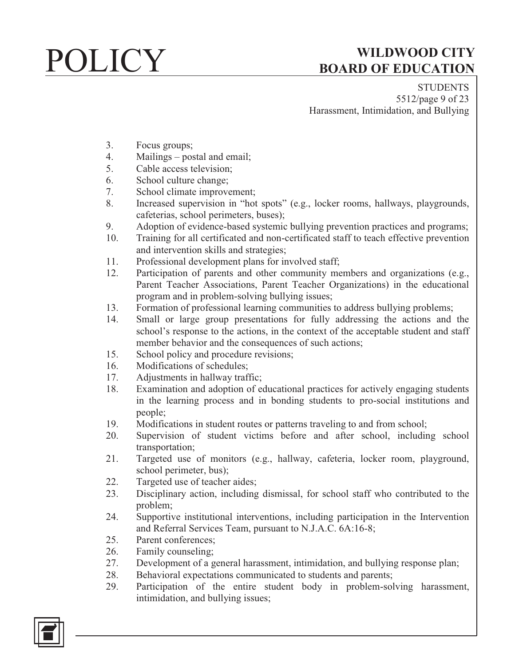**STUDENTS** 5512/page 9 of 23 Harassment, Intimidation, and Bullying

- 3. Focus groups;
- 4. Mailings postal and email;
- 5. Cable access television;
- 6. School culture change;
- 7. School climate improvement;
- 8. Increased supervision in "hot spots" (e.g., locker rooms, hallways, playgrounds, cafeterias, school perimeters, buses);
- 9. Adoption of evidence-based systemic bullying prevention practices and programs;
- 10. Training for all certificated and non-certificated staff to teach effective prevention and intervention skills and strategies;
- 11. Professional development plans for involved staff;
- 12. Participation of parents and other community members and organizations (e.g., Parent Teacher Associations, Parent Teacher Organizations) in the educational program and in problem-solving bullying issues;
- 13. Formation of professional learning communities to address bullying problems;
- 14. Small or large group presentations for fully addressing the actions and the school's response to the actions, in the context of the acceptable student and staff member behavior and the consequences of such actions;
- 15. School policy and procedure revisions;
- 16. Modifications of schedules;
- 17. Adjustments in hallway traffic;
- 18. Examination and adoption of educational practices for actively engaging students in the learning process and in bonding students to pro-social institutions and people;
- 19. Modifications in student routes or patterns traveling to and from school;
- 20. Supervision of student victims before and after school, including school transportation;
- 21. Targeted use of monitors (e.g., hallway, cafeteria, locker room, playground, school perimeter, bus);
- 22. Targeted use of teacher aides;
- 23. Disciplinary action, including dismissal, for school staff who contributed to the problem;
- 24. Supportive institutional interventions, including participation in the Intervention and Referral Services Team, pursuant to N.J.A.C. 6A:16-8;
- 25. Parent conferences;
- 26. Family counseling;
- 27. Development of a general harassment, intimidation, and bullying response plan;
- 28. Behavioral expectations communicated to students and parents;
- 29. Participation of the entire student body in problem-solving harassment, intimidation, and bullying issues;

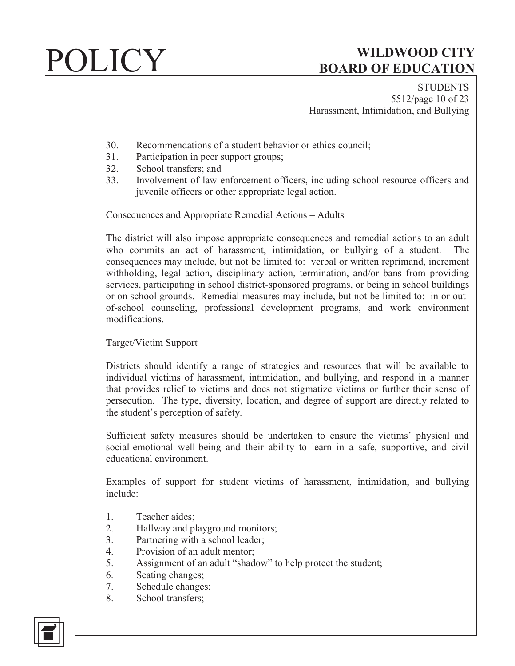**STUDENTS** 5512/page 10 of 23 Harassment, Intimidation, and Bullying

- 30. Recommendations of a student behavior or ethics council;
- 31. Participation in peer support groups;
- 32. School transfers; and
- 33. Involvement of law enforcement officers, including school resource officers and juvenile officers or other appropriate legal action.

Consequences and Appropriate Remedial Actions – Adults

The district will also impose appropriate consequences and remedial actions to an adult who commits an act of harassment, intimidation, or bullying of a student. The consequences may include, but not be limited to: verbal or written reprimand, increment withholding, legal action, disciplinary action, termination, and/or bans from providing services, participating in school district-sponsored programs, or being in school buildings or on school grounds. Remedial measures may include, but not be limited to: in or outof-school counseling, professional development programs, and work environment modifications.

### Target/Victim Support

Districts should identify a range of strategies and resources that will be available to individual victims of harassment, intimidation, and bullying, and respond in a manner that provides relief to victims and does not stigmatize victims or further their sense of persecution. The type, diversity, location, and degree of support are directly related to the student's perception of safety.

Sufficient safety measures should be undertaken to ensure the victims' physical and social-emotional well-being and their ability to learn in a safe, supportive, and civil educational environment.

Examples of support for student victims of harassment, intimidation, and bullying include:

- 1. Teacher aides;
- 2. Hallway and playground monitors;
- 3. Partnering with a school leader;
- 4. Provision of an adult mentor;
- 5. Assignment of an adult "shadow" to help protect the student;
- 6. Seating changes;
- 7. Schedule changes;
- 8. School transfers;

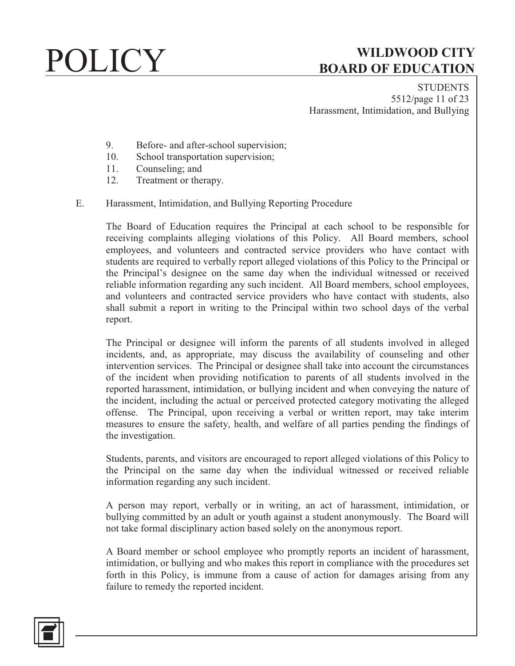**STUDENTS** 5512/page 11 of 23 Harassment, Intimidation, and Bullying

- 9. Before- and after-school supervision;
- 10. School transportation supervision;
- 11. Counseling; and
- 12. Treatment or therapy.

### E. Harassment, Intimidation, and Bullying Reporting Procedure

The Board of Education requires the Principal at each school to be responsible for receiving complaints alleging violations of this Policy. All Board members, school employees, and volunteers and contracted service providers who have contact with students are required to verbally report alleged violations of this Policy to the Principal or the Principal's designee on the same day when the individual witnessed or received reliable information regarding any such incident. All Board members, school employees, and volunteers and contracted service providers who have contact with students, also shall submit a report in writing to the Principal within two school days of the verbal report.

The Principal or designee will inform the parents of all students involved in alleged incidents, and, as appropriate, may discuss the availability of counseling and other intervention services. The Principal or designee shall take into account the circumstances of the incident when providing notification to parents of all students involved in the reported harassment, intimidation, or bullying incident and when conveying the nature of the incident, including the actual or perceived protected category motivating the alleged offense. The Principal, upon receiving a verbal or written report, may take interim measures to ensure the safety, health, and welfare of all parties pending the findings of the investigation.

Students, parents, and visitors are encouraged to report alleged violations of this Policy to the Principal on the same day when the individual witnessed or received reliable information regarding any such incident.

A person may report, verbally or in writing, an act of harassment, intimidation, or bullying committed by an adult or youth against a student anonymously. The Board will not take formal disciplinary action based solely on the anonymous report.

A Board member or school employee who promptly reports an incident of harassment, intimidation, or bullying and who makes this report in compliance with the procedures set forth in this Policy, is immune from a cause of action for damages arising from any failure to remedy the reported incident.

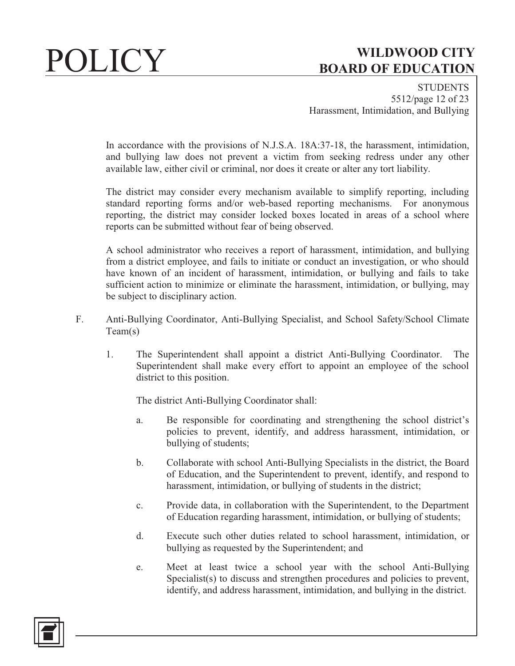**STUDENTS** 5512/page 12 of 23 Harassment, Intimidation, and Bullying

In accordance with the provisions of N.J.S.A. 18A:37-18, the harassment, intimidation, and bullying law does not prevent a victim from seeking redress under any other available law, either civil or criminal, nor does it create or alter any tort liability.

The district may consider every mechanism available to simplify reporting, including standard reporting forms and/or web-based reporting mechanisms. For anonymous reporting, the district may consider locked boxes located in areas of a school where reports can be submitted without fear of being observed.

A school administrator who receives a report of harassment, intimidation, and bullying from a district employee, and fails to initiate or conduct an investigation, or who should have known of an incident of harassment, intimidation, or bullying and fails to take sufficient action to minimize or eliminate the harassment, intimidation, or bullying, may be subject to disciplinary action.

- F. Anti-Bullying Coordinator, Anti-Bullying Specialist, and School Safety/School Climate Team(s)
	- 1. The Superintendent shall appoint a district Anti-Bullying Coordinator. The Superintendent shall make every effort to appoint an employee of the school district to this position.

The district Anti-Bullying Coordinator shall:

- a. Be responsible for coordinating and strengthening the school district's policies to prevent, identify, and address harassment, intimidation, or bullying of students;
- b. Collaborate with school Anti-Bullying Specialists in the district, the Board of Education, and the Superintendent to prevent, identify, and respond to harassment, intimidation, or bullying of students in the district;
- c. Provide data, in collaboration with the Superintendent, to the Department of Education regarding harassment, intimidation, or bullying of students;
- d. Execute such other duties related to school harassment, intimidation, or bullying as requested by the Superintendent; and
- e. Meet at least twice a school year with the school Anti-Bullying Specialist(s) to discuss and strengthen procedures and policies to prevent, identify, and address harassment, intimidation, and bullying in the district.

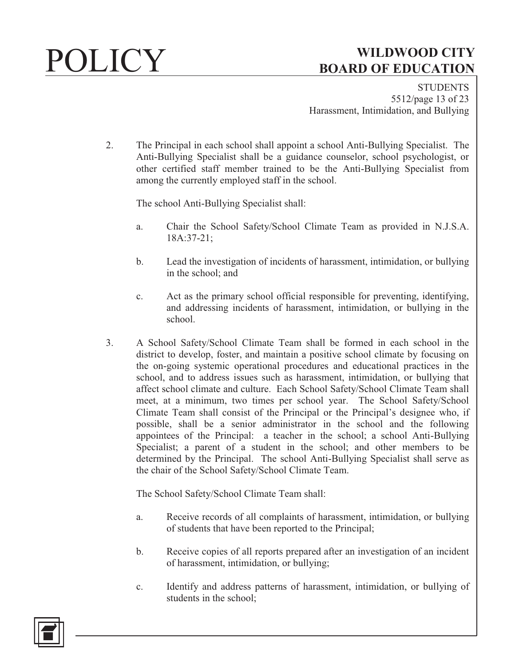**STUDENTS** 5512/page 13 of 23 Harassment, Intimidation, and Bullying

2. The Principal in each school shall appoint a school Anti-Bullying Specialist. The Anti-Bullying Specialist shall be a guidance counselor, school psychologist, or other certified staff member trained to be the Anti-Bullying Specialist from among the currently employed staff in the school.

The school Anti-Bullying Specialist shall:

- a. Chair the School Safety/School Climate Team as provided in N.J.S.A. 18A:37-21;
- b. Lead the investigation of incidents of harassment, intimidation, or bullying in the school; and
- c. Act as the primary school official responsible for preventing, identifying, and addressing incidents of harassment, intimidation, or bullying in the school.
- 3. A School Safety/School Climate Team shall be formed in each school in the district to develop, foster, and maintain a positive school climate by focusing on the on-going systemic operational procedures and educational practices in the school, and to address issues such as harassment, intimidation, or bullying that affect school climate and culture. Each School Safety/School Climate Team shall meet, at a minimum, two times per school year. The School Safety/School Climate Team shall consist of the Principal or the Principal's designee who, if possible, shall be a senior administrator in the school and the following appointees of the Principal: a teacher in the school; a school Anti-Bullying Specialist; a parent of a student in the school; and other members to be determined by the Principal. The school Anti-Bullying Specialist shall serve as the chair of the School Safety/School Climate Team.

The School Safety/School Climate Team shall:

- a. Receive records of all complaints of harassment, intimidation, or bullying of students that have been reported to the Principal;
- b. Receive copies of all reports prepared after an investigation of an incident of harassment, intimidation, or bullying;
- c. Identify and address patterns of harassment, intimidation, or bullying of students in the school;

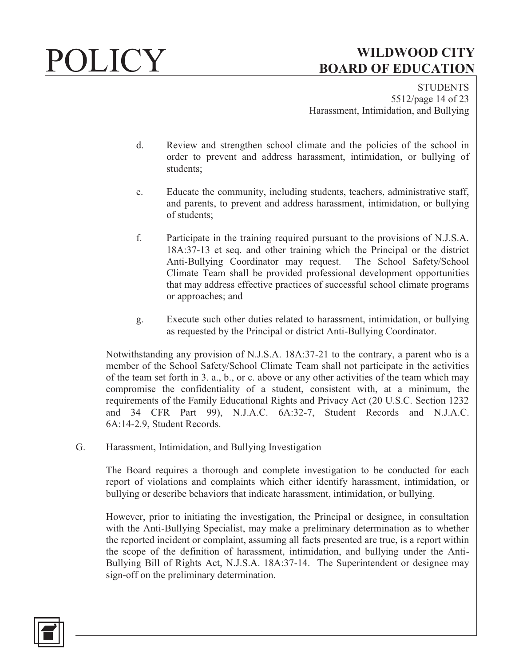**STUDENTS** 5512/page 14 of 23 Harassment, Intimidation, and Bullying

- d. Review and strengthen school climate and the policies of the school in order to prevent and address harassment, intimidation, or bullying of students;
- e. Educate the community, including students, teachers, administrative staff, and parents, to prevent and address harassment, intimidation, or bullying of students;
- f. Participate in the training required pursuant to the provisions of N.J.S.A. 18A:37-13 et seq. and other training which the Principal or the district Anti-Bullying Coordinator may request. The School Safety/School Climate Team shall be provided professional development opportunities that may address effective practices of successful school climate programs or approaches; and
- g. Execute such other duties related to harassment, intimidation, or bullying as requested by the Principal or district Anti-Bullying Coordinator.

Notwithstanding any provision of N.J.S.A. 18A:37-21 to the contrary, a parent who is a member of the School Safety/School Climate Team shall not participate in the activities of the team set forth in 3. a., b., or c. above or any other activities of the team which may compromise the confidentiality of a student, consistent with, at a minimum, the requirements of the Family Educational Rights and Privacy Act (20 U.S.C. Section 1232 and 34 CFR Part 99), N.J.A.C. 6A:32-7, Student Records and N.J.A.C. 6A:14-2.9, Student Records.

G. Harassment, Intimidation, and Bullying Investigation

The Board requires a thorough and complete investigation to be conducted for each report of violations and complaints which either identify harassment, intimidation, or bullying or describe behaviors that indicate harassment, intimidation, or bullying.

However, prior to initiating the investigation, the Principal or designee, in consultation with the Anti-Bullying Specialist, may make a preliminary determination as to whether the reported incident or complaint, assuming all facts presented are true, is a report within the scope of the definition of harassment, intimidation, and bullying under the Anti-Bullying Bill of Rights Act, N.J.S.A. 18A:37-14. The Superintendent or designee may sign-off on the preliminary determination.

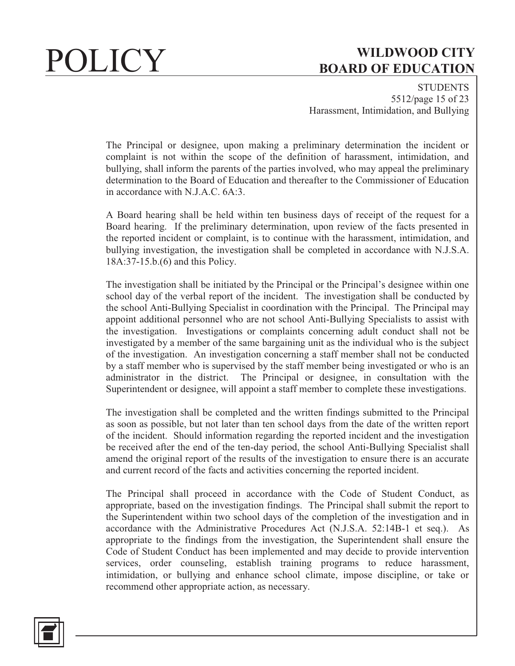**STUDENTS** 5512/page 15 of 23 Harassment, Intimidation, and Bullying

The Principal or designee, upon making a preliminary determination the incident or complaint is not within the scope of the definition of harassment, intimidation, and bullying, shall inform the parents of the parties involved, who may appeal the preliminary determination to the Board of Education and thereafter to the Commissioner of Education in accordance with N.J.A.C.  $6A.3$ .

A Board hearing shall be held within ten business days of receipt of the request for a Board hearing. If the preliminary determination, upon review of the facts presented in the reported incident or complaint, is to continue with the harassment, intimidation, and bullying investigation, the investigation shall be completed in accordance with N.J.S.A. 18A:37-15.b.(6) and this Policy.

The investigation shall be initiated by the Principal or the Principal's designee within one school day of the verbal report of the incident. The investigation shall be conducted by the school Anti-Bullying Specialist in coordination with the Principal. The Principal may appoint additional personnel who are not school Anti-Bullying Specialists to assist with the investigation. Investigations or complaints concerning adult conduct shall not be investigated by a member of the same bargaining unit as the individual who is the subject of the investigation. An investigation concerning a staff member shall not be conducted by a staff member who is supervised by the staff member being investigated or who is an administrator in the district. The Principal or designee, in consultation with the Superintendent or designee, will appoint a staff member to complete these investigations.

The investigation shall be completed and the written findings submitted to the Principal as soon as possible, but not later than ten school days from the date of the written report of the incident. Should information regarding the reported incident and the investigation be received after the end of the ten-day period, the school Anti-Bullying Specialist shall amend the original report of the results of the investigation to ensure there is an accurate and current record of the facts and activities concerning the reported incident.

The Principal shall proceed in accordance with the Code of Student Conduct, as appropriate, based on the investigation findings. The Principal shall submit the report to the Superintendent within two school days of the completion of the investigation and in accordance with the Administrative Procedures Act (N.J.S.A. 52:14B-1 et seq.). As appropriate to the findings from the investigation, the Superintendent shall ensure the Code of Student Conduct has been implemented and may decide to provide intervention services, order counseling, establish training programs to reduce harassment, intimidation, or bullying and enhance school climate, impose discipline, or take or recommend other appropriate action, as necessary.

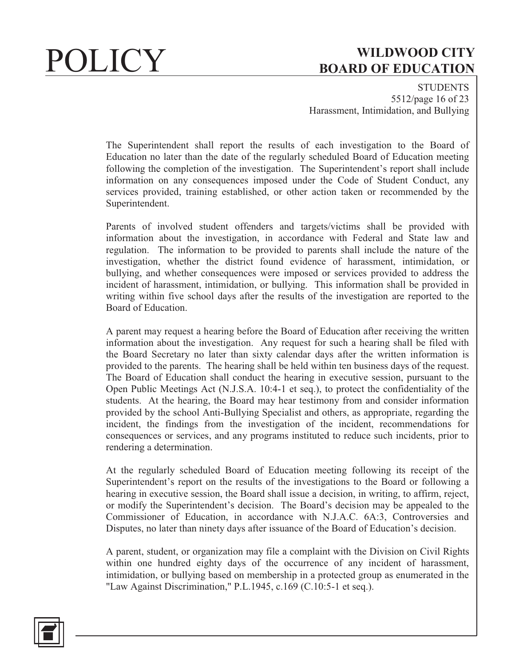**STUDENTS** 5512/page 16 of 23 Harassment, Intimidation, and Bullying

The Superintendent shall report the results of each investigation to the Board of Education no later than the date of the regularly scheduled Board of Education meeting following the completion of the investigation. The Superintendent's report shall include information on any consequences imposed under the Code of Student Conduct, any services provided, training established, or other action taken or recommended by the Superintendent.

Parents of involved student offenders and targets/victims shall be provided with information about the investigation, in accordance with Federal and State law and regulation. The information to be provided to parents shall include the nature of the investigation, whether the district found evidence of harassment, intimidation, or bullying, and whether consequences were imposed or services provided to address the incident of harassment, intimidation, or bullying. This information shall be provided in writing within five school days after the results of the investigation are reported to the Board of Education.

A parent may request a hearing before the Board of Education after receiving the written information about the investigation. Any request for such a hearing shall be filed with the Board Secretary no later than sixty calendar days after the written information is provided to the parents. The hearing shall be held within ten business days of the request. The Board of Education shall conduct the hearing in executive session, pursuant to the Open Public Meetings Act (N.J.S.A. 10:4-1 et seq.), to protect the confidentiality of the students. At the hearing, the Board may hear testimony from and consider information provided by the school Anti-Bullying Specialist and others, as appropriate, regarding the incident, the findings from the investigation of the incident, recommendations for consequences or services, and any programs instituted to reduce such incidents, prior to rendering a determination.

At the regularly scheduled Board of Education meeting following its receipt of the Superintendent's report on the results of the investigations to the Board or following a hearing in executive session, the Board shall issue a decision, in writing, to affirm, reject, or modify the Superintendent's decision. The Board's decision may be appealed to the Commissioner of Education, in accordance with N.J.A.C. 6A:3, Controversies and Disputes, no later than ninety days after issuance of the Board of Education's decision.

A parent, student, or organization may file a complaint with the Division on Civil Rights within one hundred eighty days of the occurrence of any incident of harassment, intimidation, or bullying based on membership in a protected group as enumerated in the "Law Against Discrimination," P.L.1945, c.169 (C.10:5-1 et seq.).

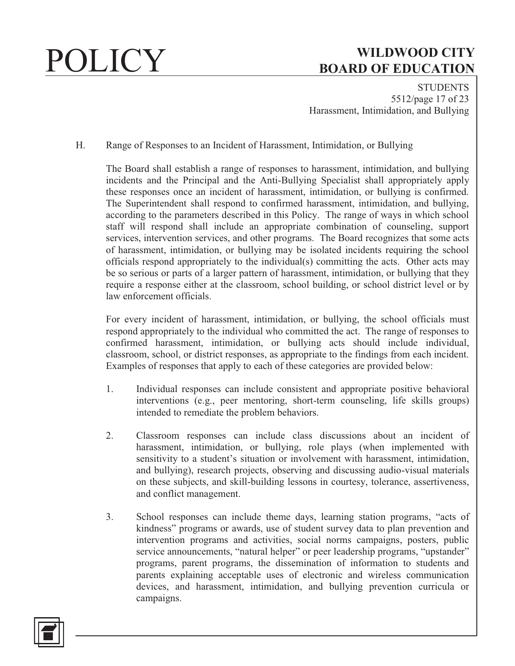**STUDENTS** 5512/page 17 of 23 Harassment, Intimidation, and Bullying

H. Range of Responses to an Incident of Harassment, Intimidation, or Bullying

The Board shall establish a range of responses to harassment, intimidation, and bullying incidents and the Principal and the Anti-Bullying Specialist shall appropriately apply these responses once an incident of harassment, intimidation, or bullying is confirmed. The Superintendent shall respond to confirmed harassment, intimidation, and bullying, according to the parameters described in this Policy. The range of ways in which school staff will respond shall include an appropriate combination of counseling, support services, intervention services, and other programs. The Board recognizes that some acts of harassment, intimidation, or bullying may be isolated incidents requiring the school officials respond appropriately to the individual(s) committing the acts. Other acts may be so serious or parts of a larger pattern of harassment, intimidation, or bullying that they require a response either at the classroom, school building, or school district level or by law enforcement officials.

For every incident of harassment, intimidation, or bullying, the school officials must respond appropriately to the individual who committed the act. The range of responses to confirmed harassment, intimidation, or bullying acts should include individual, classroom, school, or district responses, as appropriate to the findings from each incident. Examples of responses that apply to each of these categories are provided below:

- 1. Individual responses can include consistent and appropriate positive behavioral interventions (e.g., peer mentoring, short-term counseling, life skills groups) intended to remediate the problem behaviors.
- 2. Classroom responses can include class discussions about an incident of harassment, intimidation, or bullying, role plays (when implemented with sensitivity to a student's situation or involvement with harassment, intimidation, and bullying), research projects, observing and discussing audio-visual materials on these subjects, and skill-building lessons in courtesy, tolerance, assertiveness, and conflict management.
- 3. School responses can include theme days, learning station programs, "acts of kindness" programs or awards, use of student survey data to plan prevention and intervention programs and activities, social norms campaigns, posters, public service announcements, "natural helper" or peer leadership programs, "upstander" programs, parent programs, the dissemination of information to students and parents explaining acceptable uses of electronic and wireless communication devices, and harassment, intimidation, and bullying prevention curricula or campaigns.

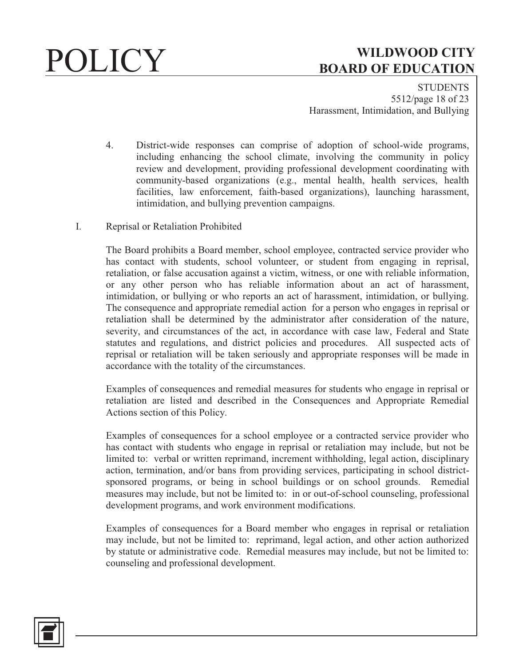**STUDENTS** 5512/page 18 of 23 Harassment, Intimidation, and Bullying

- 4. District-wide responses can comprise of adoption of school-wide programs, including enhancing the school climate, involving the community in policy review and development, providing professional development coordinating with community-based organizations (e.g., mental health, health services, health facilities, law enforcement, faith-based organizations), launching harassment, intimidation, and bullying prevention campaigns.
- I. Reprisal or Retaliation Prohibited

The Board prohibits a Board member, school employee, contracted service provider who has contact with students, school volunteer, or student from engaging in reprisal, retaliation, or false accusation against a victim, witness, or one with reliable information, or any other person who has reliable information about an act of harassment, intimidation, or bullying or who reports an act of harassment, intimidation, or bullying. The consequence and appropriate remedial action for a person who engages in reprisal or retaliation shall be determined by the administrator after consideration of the nature, severity, and circumstances of the act, in accordance with case law, Federal and State statutes and regulations, and district policies and procedures. All suspected acts of reprisal or retaliation will be taken seriously and appropriate responses will be made in accordance with the totality of the circumstances.

Examples of consequences and remedial measures for students who engage in reprisal or retaliation are listed and described in the Consequences and Appropriate Remedial Actions section of this Policy.

Examples of consequences for a school employee or a contracted service provider who has contact with students who engage in reprisal or retaliation may include, but not be limited to: verbal or written reprimand, increment withholding, legal action, disciplinary action, termination, and/or bans from providing services, participating in school districtsponsored programs, or being in school buildings or on school grounds. Remedial measures may include, but not be limited to: in or out-of-school counseling, professional development programs, and work environment modifications.

Examples of consequences for a Board member who engages in reprisal or retaliation may include, but not be limited to: reprimand, legal action, and other action authorized by statute or administrative code. Remedial measures may include, but not be limited to: counseling and professional development.

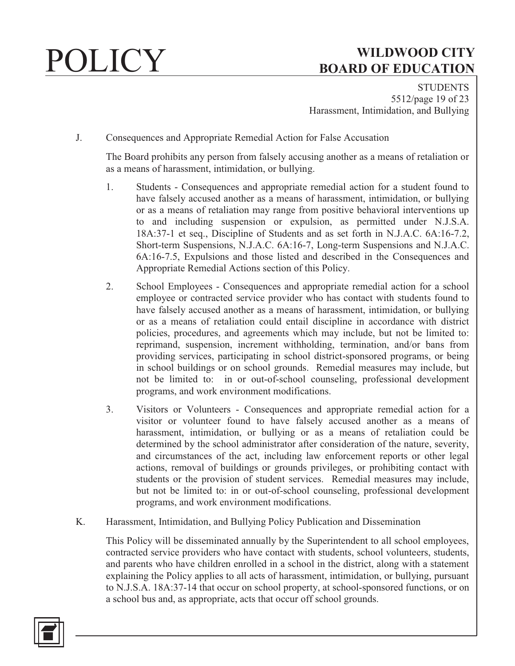**STUDENTS** 5512/page 19 of 23 Harassment, Intimidation, and Bullying

J. Consequences and Appropriate Remedial Action for False Accusation

The Board prohibits any person from falsely accusing another as a means of retaliation or as a means of harassment, intimidation, or bullying.

- 1. Students Consequences and appropriate remedial action for a student found to have falsely accused another as a means of harassment, intimidation, or bullying or as a means of retaliation may range from positive behavioral interventions up to and including suspension or expulsion, as permitted under N.J.S.A. 18A:37-1 et seq., Discipline of Students and as set forth in N.J.A.C. 6A:16-7.2, Short-term Suspensions, N.J.A.C. 6A:16-7, Long-term Suspensions and N.J.A.C. 6A:16-7.5, Expulsions and those listed and described in the Consequences and Appropriate Remedial Actions section of this Policy.
- 2. School Employees Consequences and appropriate remedial action for a school employee or contracted service provider who has contact with students found to have falsely accused another as a means of harassment, intimidation, or bullying or as a means of retaliation could entail discipline in accordance with district policies, procedures, and agreements which may include, but not be limited to: reprimand, suspension, increment withholding, termination, and/or bans from providing services, participating in school district-sponsored programs, or being in school buildings or on school grounds. Remedial measures may include, but not be limited to: in or out-of-school counseling, professional development programs, and work environment modifications.
- 3. Visitors or Volunteers Consequences and appropriate remedial action for a visitor or volunteer found to have falsely accused another as a means of harassment, intimidation, or bullying or as a means of retaliation could be determined by the school administrator after consideration of the nature, severity, and circumstances of the act, including law enforcement reports or other legal actions, removal of buildings or grounds privileges, or prohibiting contact with students or the provision of student services. Remedial measures may include, but not be limited to: in or out-of-school counseling, professional development programs, and work environment modifications.
- K. Harassment, Intimidation, and Bullying Policy Publication and Dissemination

This Policy will be disseminated annually by the Superintendent to all school employees, contracted service providers who have contact with students, school volunteers, students, and parents who have children enrolled in a school in the district, along with a statement explaining the Policy applies to all acts of harassment, intimidation, or bullying, pursuant to N.J.S.A. 18A:37-14 that occur on school property, at school-sponsored functions, or on a school bus and, as appropriate, acts that occur off school grounds.

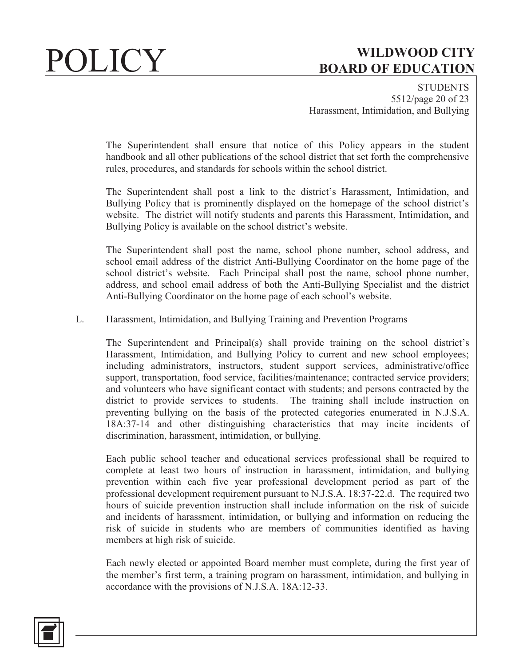**STUDENTS** 5512/page 20 of 23 Harassment, Intimidation, and Bullying

The Superintendent shall ensure that notice of this Policy appears in the student handbook and all other publications of the school district that set forth the comprehensive rules, procedures, and standards for schools within the school district.

The Superintendent shall post a link to the district's Harassment, Intimidation, and Bullying Policy that is prominently displayed on the homepage of the school district's website. The district will notify students and parents this Harassment, Intimidation, and Bullying Policy is available on the school district's website.

The Superintendent shall post the name, school phone number, school address, and school email address of the district Anti-Bullying Coordinator on the home page of the school district's website. Each Principal shall post the name, school phone number, address, and school email address of both the Anti-Bullying Specialist and the district Anti-Bullying Coordinator on the home page of each school's website.

### L. Harassment, Intimidation, and Bullying Training and Prevention Programs

The Superintendent and Principal(s) shall provide training on the school district's Harassment, Intimidation, and Bullying Policy to current and new school employees; including administrators, instructors, student support services, administrative/office support, transportation, food service, facilities/maintenance; contracted service providers; and volunteers who have significant contact with students; and persons contracted by the district to provide services to students. The training shall include instruction on preventing bullying on the basis of the protected categories enumerated in N.J.S.A. 18A:37-14 and other distinguishing characteristics that may incite incidents of discrimination, harassment, intimidation, or bullying.

Each public school teacher and educational services professional shall be required to complete at least two hours of instruction in harassment, intimidation, and bullying prevention within each five year professional development period as part of the professional development requirement pursuant to N.J.S.A. 18:37-22.d. The required two hours of suicide prevention instruction shall include information on the risk of suicide and incidents of harassment, intimidation, or bullying and information on reducing the risk of suicide in students who are members of communities identified as having members at high risk of suicide.

Each newly elected or appointed Board member must complete, during the first year of the member's first term, a training program on harassment, intimidation, and bullying in accordance with the provisions of N.J.S.A. 18A:12-33.

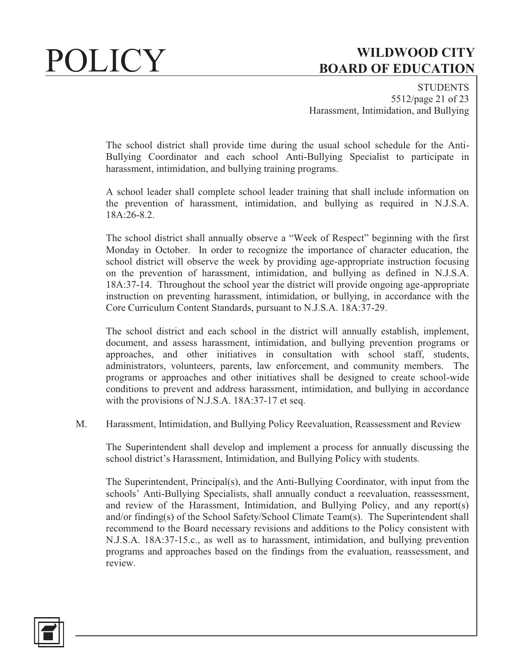**STUDENTS** 5512/page 21 of 23 Harassment, Intimidation, and Bullying

The school district shall provide time during the usual school schedule for the Anti-Bullying Coordinator and each school Anti-Bullying Specialist to participate in harassment, intimidation, and bullying training programs.

A school leader shall complete school leader training that shall include information on the prevention of harassment, intimidation, and bullying as required in N.J.S.A. 18A:26-8.2.

The school district shall annually observe a "Week of Respect" beginning with the first Monday in October. In order to recognize the importance of character education, the school district will observe the week by providing age-appropriate instruction focusing on the prevention of harassment, intimidation, and bullying as defined in N.J.S.A. 18A:37-14. Throughout the school year the district will provide ongoing age-appropriate instruction on preventing harassment, intimidation, or bullying, in accordance with the Core Curriculum Content Standards, pursuant to N.J.S.A. 18A:37-29.

The school district and each school in the district will annually establish, implement, document, and assess harassment, intimidation, and bullying prevention programs or approaches, and other initiatives in consultation with school staff, students, administrators, volunteers, parents, law enforcement, and community members. The programs or approaches and other initiatives shall be designed to create school-wide conditions to prevent and address harassment, intimidation, and bullying in accordance with the provisions of N.J.S.A. 18A:37-17 et seq.

M. Harassment, Intimidation, and Bullying Policy Reevaluation, Reassessment and Review

The Superintendent shall develop and implement a process for annually discussing the school district's Harassment, Intimidation, and Bullying Policy with students.

The Superintendent, Principal(s), and the Anti-Bullying Coordinator, with input from the schools' Anti-Bullying Specialists, shall annually conduct a reevaluation, reassessment, and review of the Harassment, Intimidation, and Bullying Policy, and any report(s) and/or finding(s) of the School Safety/School Climate Team(s). The Superintendent shall recommend to the Board necessary revisions and additions to the Policy consistent with N.J.S.A. 18A:37-15.c., as well as to harassment, intimidation, and bullying prevention programs and approaches based on the findings from the evaluation, reassessment, and review.

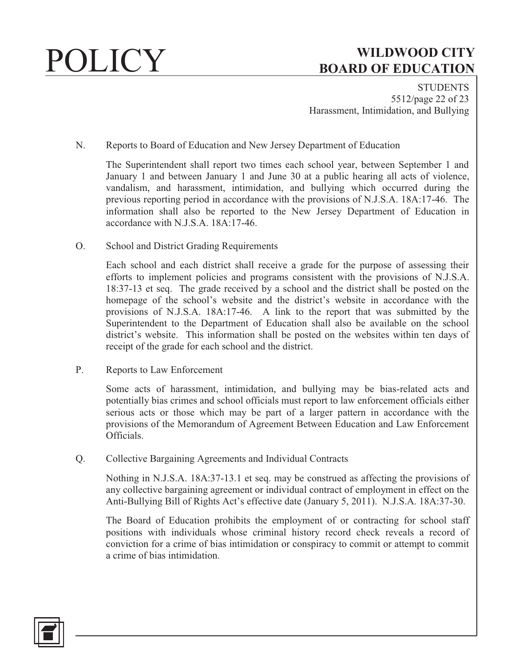**STUDENTS** 5512/page 22 of 23 Harassment, Intimidation, and Bullying

N. Reports to Board of Education and New Jersey Department of Education

The Superintendent shall report two times each school year, between September 1 and January 1 and between January 1 and June 30 at a public hearing all acts of violence, vandalism, and harassment, intimidation, and bullying which occurred during the previous reporting period in accordance with the provisions of N.J.S.A. 18A:17-46. The information shall also be reported to the New Jersey Department of Education in accordance with N.J.S.A. 18A:17-46.

O. School and District Grading Requirements

Each school and each district shall receive a grade for the purpose of assessing their efforts to implement policies and programs consistent with the provisions of N.J.S.A. 18:37-13 et seq. The grade received by a school and the district shall be posted on the homepage of the school's website and the district's website in accordance with the provisions of N.J.S.A. 18A:17-46. A link to the report that was submitted by the Superintendent to the Department of Education shall also be available on the school district's website. This information shall be posted on the websites within ten days of receipt of the grade for each school and the district.

P. Reports to Law Enforcement

Some acts of harassment, intimidation, and bullying may be bias-related acts and potentially bias crimes and school officials must report to law enforcement officials either serious acts or those which may be part of a larger pattern in accordance with the provisions of the Memorandum of Agreement Between Education and Law Enforcement Officials.

Q. Collective Bargaining Agreements and Individual Contracts

Nothing in N.J.S.A. 18A:37-13.1 et seq. may be construed as affecting the provisions of any collective bargaining agreement or individual contract of employment in effect on the Anti-Bullying Bill of Rights Act's effective date (January 5, 2011). N.J.S.A. 18A:37-30.

The Board of Education prohibits the employment of or contracting for school staff positions with individuals whose criminal history record check reveals a record of conviction for a crime of bias intimidation or conspiracy to commit or attempt to commit a crime of bias intimidation.